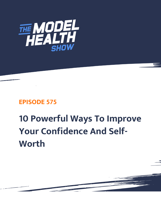

## **EPISODE 575**

## **10 Powerful Ways To Improve Your Confidence And Self-Worth**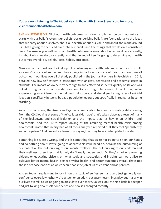## **You are now listening to The Model Health Show with Shawn Stevenson. For more, visit themodelhealthshow.com.**

**SHAWN STEVENSON:** All of our health outcomes, all of our results first begin in our minds. It starts with our belief system. Our beliefs, our underlying beliefs are foundational to the ideas that we carry about ourselves, about our health, about our value and about the world around us. That's going to then lead over into our habits and the things that we do on a consistent basis. Because as you well know, our health outcomes are not about what we do occasionally, it's about what we do consistently. And that in and of itself is going to determine our health outcomes overall. So, beliefs, ideas, habits, outcomes.

Now, one of the most overlooked aspects controlling our health outcomes is our state of selfesteem. Our state of self-esteem has a huge impact on our state of health and our overall outcomes in our lives overall. A study published in the Journal Frontiers in Psychiatry in 2019, detailed how low self-esteem is associated with anxiety, depression and academic stress in students. The impact of low self-esteem significantly affected students' quality of life and was linked to higher rates of suicidal ideation. As you might be aware of right now, we're experiencing an epidemic of mental health disorders, and also skyrocketing rates of suicidal ideation, specifically in teens, but as a population overall, but specifically in teens, it's become startling.

As of this recording, the American Psychiatric Association has been circulating data coming from the CDC looking at some of the "collateral damage" that's taken place as a result of many of the lockdowns and social isolation and the impact that it's having on children and adolescents. And the CDC's report looking at the resulting mental health crisis among adolescents noted that nearly half of all teens analyzed reported that they feel, "persistently sad or hopeless." And one in five teens now saying that they have contemplated suicide.

Something is severely wrong, and this is something that we're not going to sit on our hands and do nothing about. We're going to address this issue head-on, because the outsourcing of our potential, the outsourcing of our mental wellness, the outsourcing of our children and their wellness to entities that largely don't really understand... Or they're not empowering citizens or educating citizens on what tools and strategies and insights can we utilize to cultivate better mental health, better physical health, and better outcomes overall. That's not the job of those entities as we've seen, that's the job of us as citizens and as parents.

And so today I really want to lock in on this topic of self-esteem and also just generally our confidence overall, whether we're a teen or an adult, because these things play out majorly in our lives overall, as we're going to articulate even more. So let's look at this a little bit deeper [and just talking about self-confidence and how it](https://themodelhealthshow.com/self-worth/)'[s changed recently.](https://themodelhealthshow.com/self-worth/)

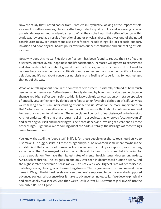Now the study that I noted earlier from Frontiers in Psychiatry, looking at the impact of selfesteem, low self-esteem, significantly affecting students' quality of life and increasing rates of anxiety, depression and academic stress... What they noted was that self-confidence in this study was lowered as a result of emotional and or physical abuse. That was one of the noted contributors to low self-esteem and also other factors include things like lack of social support, isolation and poor physical health pours over into our self-confidence and our feeling of selfesteem.

Now, why does this matter? Healthy self-esteem has been found to reduce the risk of eating disorders, increase overall happiness and life satisfaction, increased willingness to experiment and also create a better state of general health outcomes, and so much more. Now, I want to be clear because confidence and cultivating more self-esteem and confidence, it's not about delusion, and it's not about conceit or narcissism or a feeling of superiority. So, let's just get that out of the way.

What we're talking about here in the context of self-esteem, it's literally defined as how much people value themselves. Self-esteem is literally defined by how much value people place on themselves. High self-esteem refers to highly favorable global evaluation. A meta perspective of oneself. Low self-esteem by definition refers to an unfavorable definition of self. So, what we're talking about is an understanding of our self-value. What can be more important than that? What can be more efficacious than that? But when we think about confidence, we tend to steer our car over into the lane... The wrong lane of conceit, of narcissism, of self-obsession. And not understanding that that program belief in our society, that when you focus on yourself and bettering yourself and improving your self-confidence, and invoking self-care and all these other things... Right now, we're coming out of the dark... Literally, the dark ages of those things being frowned upon.

You know, that... All the "good stuff" in life is for those people over there. You should strive to just make it. Struggle, strife, all those things and you'll be rewarded somewhere maybe in the afterlife. And that chapter of human civilization and our mentality as a species, we're turning a chapter on that. Because just look at the results and the health outcomes that it's having for us as a population. We have the highest rates of mental health issues, depression, anxiety, ADHD, schizophrenia. The list goes on and on... Ever seen in documented human history. And the highest rates of chronic diseases as well. It's not even close. Highest rates of heart disease, diabetes, cancer, obesity, liver disease, lung disease. The list goes on and on. You name it... You name it. We got the highest levels ever seen, and we're supposed to be this so-called supposed advanced society. What sense does it make to advance technologically, if we devolve physically and emotionally as a species? And then we're just like, "Well, I just want to jack myself into the computer. It'll be all good."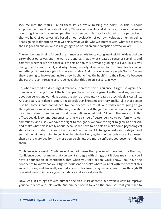Jack me into the matrix. Fix all these issues. We're missing the point. So, this is about empowerment, and this is about reality. This is about reality, and at its core, the way that we're operating, the way that we're operating as a person in this reality is based on our perceptions that we have of ourselves. It's based on our evaluation of our own value as a human being. That's going to determine what we think, what we do, who we interact with, what we tolerate, the list goes on and on. And it's all going to be based on our perception of who we are.

The number one driving force of the human psyche is to stay congruent with the ideas that we carry about ourselves and the world around us. That's what creates a sense of certainty and comfort, whether we are conscious of this or not, this is what's guiding our lives. This is why change can be so difficult, and why change usually, if we want to do... Proactively change something... A positive, right? It's uncomfortable. And this is why many people "fall off" when they're trying to invoke and invite a new habit... A "healthy habit" into their lives. It's because the psyche is comfortable, and it believes that this person is a certain way.

So, when we start to do things differently, it creates this turbulence. Alright, so again, the number one driving force of the human psyche is to stay congruent with ourselves, our ideas about ourselves and our ideas about the world around us. It creates a psychological certainty. And so, again, confidence is more like a result than like some arbitrary quality. Like that person just has some innate confidence. No, confidence is a result. And today we're going to go through and look at some of the very specific tactical things that we can do to cultivate a healthier sense of self-esteem and self-confidence. Alright. All with the means of this efficacious delivery and outcomes so that we can be of better service to our family, to our community, and just... We have the right to feel good. We have the right to grow as a person, and that's what this is really about, because we have to be able to make some psychological shifts to start to shift the results in the world around us. All change is really an inside job, and so that's what we're going to be diving into today. Now, again, confidence is more like a result than an arbitrary quality. The more you do things, the more confident you become in doing them.

Confidence is a result. Confidence does not mean that you won't have fear, by the way. Confidence does not mean that you won't struggle with things, but it does mean that you'll have a foundation of confidence, that when you take action, you'll know... You have the confidence to know that you'll figure it out. And so that's where we're at with the heart of this subject today, and I'm really excited about it because today we're going to go through 10 powerful ways to improve your confidence and your self-worth.

Now, let's kick things off with number one on our list of these 10 powerful ways to improve your confidence and self-worth. And number one is to keep the promises that you make to

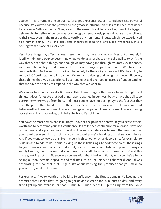yourself. This is number one on our list for a good reason. Now, self-confidence is so powerful because it's you who has the power and the greatest influence on it. It's called self-confidence for a reason. Self-confidence. Now, noted in the research a little bit earlier, one of the biggest detriments to self-confidence was psychological, emotional, physical abuse from others. Right? Now, even in the midst of these terrible environmental inputs, which I've experienced as a human being... This isn't just some theoretical idea, this isn't just a hypothesis, this is coming from a place of experience.

Yes, those things may affect us. Yes, these things may have touched our lives, but ultimately it is still within our power to determine what we do as a result. We have the ability to shift the way that we see these things, and though we may have gone through traumatic experiences, we have the ability to determine how these things impact our lives. We have the responsibility... And even if you look at that word, it's the ability to respond. It's the ability to respond. Oftentimes, we're in reaction. We're just replaying and living out these influences, these things that we've experienced over and over and over again. Instead of understanding that we have the ability to respond in the way that we want to.

We can write a new story starting now. This doesn't negate that we've been through hard things. It doesn't negate that bad thing have happened in our lives, but we have the ability to determine where we go from here. And most people have not been privy to the fact that they have the pen in their hand to write their story. Because of the environmental abuse, we tend to believe that the environment is determining our happiness. The environment is determining our self-worth and our value, but that's the trick. It's not true.

You have the most power, and in truth, you have all the power to determine your sense of selfworth and to determine your self-confidence. It's called self-confidence for a reason. Now, one of the ways, and a primary way to build up this self-confidence is to keep the promises that you make to yourself. It's sort of like a bank account as we're building up that self-confidence. And if you want to look at this like maybe a high school or on a video game, for example, to build up and to add coins... Sonic, picking up those little rings, to add those coins, those rings to your bank account. In order to do that, one of the most simplistic and powerful ways is simply keeping the promises that you make to yourself. So, what do I mean by this? And this was a great impact or influence in a conversation that I had with Ed Mylett. Now, he's a bestselling author, incredible speaker and making such a huge impact on the world. And Ed was articulating this concept that... Again, it's about keeping the promises that you make to yourself. So, what do I mean?

For example, if we're wanting to build self-confidence in the fitness domain, it's keeping the promises that I make that I'm going to get up and exercise for 30 minutes a day. And every time I get up and exercise for that 30 minute, I put a deposit... I put a ring from the Sonic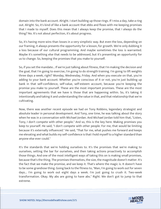domain into the bank account. Alright. I start building up those rings. If I miss a day, take a ring out. Alright. So, it's kind of like a bank account that ebbs and flows with me keeping promises that I made to myself. Does this mean that I always keep the promise, that I always do the thing? No. It's not about perfection, it's about progress.

So, it's having more wins than losses in a very simplistic way. But even the loss, depending on our framing, it always presents the opportunity for a lesson, for growth. We're only dubbing it a loss because of our cultural programming. And maybe sometimes the loss is warranted. Maybe it's something else that needs to be addressed, but it's presenting an opportunity for us to change. So, keeping the promises that you make to yourself.

So, if you set the mandate... If we're just talking about fitness, that I'm making the decision and the goal, that I'm going to exercise, I'm going to do strength training. I'm going to lift weights three days a week, right? Monday, Wednesday, Friday. And when you execute on that, you're adding to your bank account. Whether you're conscious of it or not, you're just building up bank in that self-confidence, self-value, self-esteem account, because you're keeping the promise you make to yourself. These are the most important promises. These are the most important agreements that we have is those that are happening within. So, it's taking it intentionally and taking it and understanding the value in that, and that relationship that we're cultivating.

Now, there was another recent episode we had on Tony Robbins, legendary strategist and absolute leader in personal development. And Tony, one time, he was talking about the story when he was in a conversation with Michael Jordan. And Michael Jordan told him that, "Listen, Tony, I don't compete with other people." And so, this is the key here. Making promises you keep to yourself. He said, "I don't compete with other people. For me, that would be limiting because it's externally influenced." He said, "That for me, what pushes me forward and keeps me elevating and what builds my self-confidence is that I hold myself to a higher standard than anyone else ever could."

It's the standards that we're holding ourselves to. It's the promises that we're making to ourselves, setting the bar for ourselves, and then taking actions proactively to accomplish those things. And one of the most intelligent ways of taking this on is making small promises, because that's the thing. The promises themselves, the size, the magnitude doesn't matter. It's the fact that we make the promise, and we keep it. That's where the magic is. It doesn't have to be some grandiose thing. Going back to the fitness to, "Man, I'm going to work out for seven days... I'm going to work out eight days a week. I'm just going to crush it. Two-week transformation. Okay. My abs are going to have abs." Right. We don't got to jump to that extreme.

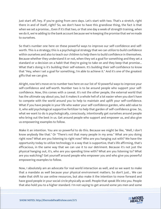Just start off, hey. If you're going from zero days. Let's start with two. That's a stretch, right there in and of itself, right? So, we don't have to have this grandiose thing, the fact is that when we set a promise... Even if it's that two, or that one day a week of strength training, when we do it, we're adding to the bank account because we're keeping the promise that we've made to ourselves.

So that's number one here on these powerful ways to improve our self-confidence and selfworth. This is a strategy; this is a psychological strategy that we can utilize to build confidence within ourselves and also to teach our children to help them to build confidence in themselves. Because whether they understand it or not, when they set a goal for something and they set a standard or a decision on a habit that they're going to take on and they keep that promise... What that's doing is it's building their self-esteem. It's building their self-confidence to know that "Hey, when I set a goal for something, I'm able to achieve it." And it's one of the greatest gifts that we can give.

Alright, now let's move on to number two here on our list of 10 powerful ways to improve your self-confidence and self-worth. Number two is to be around people who support your selfconfidence. Now, this comes with a caveat. It's not the other people, the external world that has the ultimate say about you, but it makes it a whole hell of a lot easier when you don't have to compete with the world around you to help to maintain and uplift your self-confidence. What if you have people in your life who water your self-confidence garden, who add value to it, who add psychological supportive fertilizer to help that garden of self-confidence grow. So, what we want to do is psychologically, consciously, intentionally get ourselves around people who bring out the best in us. Get around people who support and empower us, and also give us empowering examples to follow.

Make it an intention. You are so powerful to do this. Because we might be like, "Well, I don't know anybody like that." Or "There's not that many people in my area." What are you doing right now? What are you listening to right now? Who are you hanging out with? We have the opportunity today to utilize technology in a way that is supportive, that's life affirming, that's efficacious, in the same way that we can use it to our detriment. Because it's not just the physical hanging out, it's, who are you spending time with? What are you listening to? What are you watching? Get yourself around people who empower you and who give you powerful empowering examples to follow.

Now, I absolutely am an advocate for real world interaction as well, and so we want to make that a mandate as well because your physical environment matters. So don't just... We can make that shift to use online resources, but also make it the intention to move forward and have good people in your social circle physically as well. People that speak life into you. People that also hold you to a higher standard. I'm not saying to get around some yes men and some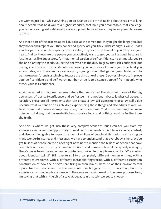yes women just like, "Oh, everything you do is fantastic." I'm not talking about that. I'm talking about people that hold you to a higher standard, that hold you accountable, that challenge you. No one said great relationships are supposed to be all easy, they're supposed to evoke growth.

And that's part of the process as well. But also at the same time, they might challenge you, but they honor and respect you. They honor and appreciate you; they understand your value. That's another part here, or the capacity of your value, they see the potential in you. They see your heart. And so, these are the people you pro-actively want to get yourself around, because it just helps. It's like Super Grow for that mental garden of self-confidence. It's ultimately, you're the one planting the seeds, you're the one who has the duty to grow that self-confidence but having good people in your life who empower you, who speak life into you, who hold you accountable, who honor and appreciate you, is going to help that garden grow faster, and to be more powerful and sustainable. Because the third one of these 10 powerful ways to improve your self-confidence and self-worth, number three is to distance yourself from people who attack your self-confidence.

Again, as noted in this peer reviewed study that we started the show with, one of the big detractors of our self-confidence and self-esteem is emotional abuse, is physical abuse, is isolation. These are all ingredients that can create a low self-assessment or a low self-value because what we tend to do as children experiencing these things and also adults as well, we tend to see that in some strange way often, that it's our fault. That it is something that we're doing or not doing that has made life be so abusive to us, and nothing could be further from the truth.

And this is where we get into these very complex scenarios, but I can tell you from my experience in having the opportunity to work with thousands of people in a clinical context, and also just being able to impact the lives of millions of people at this point, and hearing so many wonderful stories and messages, we have to understand that everybody is here. We've got billions of people on the planet right now, not to mention the billions of people that have come before us, in this story of human evolution and human potential. Everybody is unique, there's never been the same person printed out twice. And people may be like, "Whoa, what about identical twins?" Still, they're still two completely different human entities, with a different microbiome, with a different metabolic fingerprint, with a different association construction of how their nerves are firing in their brains, because of their environmental inputs. No two people see life the same. And I'm bringing this up to say that, from my experience, no two people are here with the same soul assignment or the same purpose. Now, I'm saying that with a little bit of a caveat, because ultimately, we get to choose.

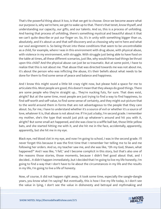That's the powerful thing about it too, is that we get to choose. Once we become aware what our purpose is, why we're here, we get to wake up to that. There's that tenet, know thyself, and understanding our capacity, our gifts, and our talents. And so, this is a process of unfolding. And having that process of unfolding, there's something mystical and beautiful about it that we can't quite describe or put our finger on. So, it's in unity with something bigger than us, absolutely, and it's about us and that self-discovery and us choosing why we're here and what our soul assignment is. So being thrust into these conditions that seem to be uncontrollable as a child, for example, where I was in this environment with drug abuse, with physical abuse, with violence in my environment, with struggle. With struggle just being able to have food on the table at times, all these different scenarios, just like, why would these bad things be thrust upon this child? And the physical abuse can just be so traumatic. But at some point, I have to realize that this is not about me. That abuse that was directed towards me was not about me, it's about the person who was inflicting the abuse, it's their beliefs about what needs to be done for them to find some sense of peace and balance and happiness.

And I know this might sound a little bit crazy right now, but please hold a space for me to articulate this. Most people are good, this doesn't mean that they always do good things. There are some people who they're straight up... They're nucking futs, for sure. That does exist, alright? But at the same time, most people are just trying to find a way to find happiness, to find self-worth and self-value, to find some sense of certainty, and they might out-picture that to the world around them in forms that are not advantageous to the people that they care about. So, for me, I have to understand whether it's a source of evil or whether it's a source of love, whatever it is, that abuse is not about me. If I'm just a baby, I'm second grade. I remember my mother, she's the type that would just pick up whatever's around and hit you with it, alright? But some small act happened, and she was close to a wiffle ball bat, those little yellow bats, and she started hitting me with it, and she hit me in the face, accidentally, apparently, apparently, but she hit me in my eye.

Black eye, red blood clot in my eye, and now I'm going to school, I was in the second grade. I'll never forget this because it was the first time that I remember her telling me to lie and me following her orders. And so, my teacher saw me, and she was like, "Oh my God, Shawn, what happened?" And I was like, "I fell," and I become complicit in this story, but that's also one of the reasons those stories, those moments, because I didn't feel good about that, and I decided... It didn't happen immediately, but I decided that I'm going to live my life honestly, I'm going to find a way that I don't have to lie about the circumstances in my life and the results in my life, I'm going to live a life of honesty.

Now, of course, it did not happen right away, it took some time, especially the sangle-dangle years, you know what I'm saying? But eventually, this is how I live my life today, is I don't see the value in lying, I don't see the value in dishonesty and betrayal and mythmaking and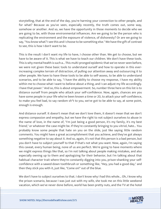storytelling, that at the end of the day, you're harming your connection to other people, and for what? Because as you've seen, especially recently, the truth comes out, some way, somehow or another. And so, we have the opportunity in those moments to decide who we are going to be, with those environmental influences. Are we going to be the person who is replicating the environment and the exposure of violence, of dishonesty? Or are we going to say, "You know what? I see this and I choose to be something else." We have the gift of contrast to see, this is how I don't want to be.

This is the result I don't want my life to have, I choose other than. We get to choose, but we have to be aware of it. This is what we have to teach our children. We don't have these tools. This is why mental health is such a... This multi-pronged epidemic that we've never seen before, we were not given these basic tools to understand ourself and how to operate in this everincreasing complex terrain of distraction, of pulling our attention away and outsourcing it to other people. We have to have these tools to be able to self-assess, to be able to understand scenarios, and to be able to say, "I have the ability to choose my response, I have my ability within me to choose what I want to believe about a thing, and I can adjust my life accordingly. I have that power." And so, this is about empowerment. So, number three here on this list is to distance ourself from people who attack your self-confidence. Now, again, chances are you have some people in your life who've been known a time or 20, to attack your self-confidence, to make you feel bad, to say random sh\*t to you, we've got to be able to say, at some point, enough is enough.

And distance ourself. It doesn't mean that we don't love them, it doesn't mean that we don't express compassion and empathy, but we have the right to not subject ourselves to abuse in the name of love, in the name of, "I'm just being a good person, it's my family, it's my best friend," or whatever the case might be. If they're constantly bringing to you vitriol, hate... You probably know some people that hate on you on the slide, just like saying little random comments. You might have a great accomplishment that you achieve, and they've got always something negative to say about it. And so, again, it's not that this person is a bad person, but you don't have to subject yourself to that if that's not what you want. Now, again, I'm saying this caveat, every human being, none of us are perfect. We're going to have moments where we might express things like that, so I'm not talking about people making mistakes, and also especially owning up to them and apologizing for their behavior, but I'm talking about that habitual character trait where they're constantly digging into you, prison-shanking your selfconfidence with a sawed-down toothbrush or something like, "Hey, you had a good day," and then they stick you with it, just like, "Come on!" out of the blue.

We don't have to subject ourselves to that. I don't know why I had this whole... Oh, I know why the prison scenario, because I was just out with my wife, she took me on this little weekend vacation, which we've never done before, world has been pretty nuts, and the TV at the hotel

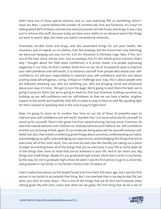didn't have any of those special stations, and so I was watching TNT or something, which I never do. Man, I cannot believe the number of commercials, first and foremost. It's crazy! I'm talking about 80% of these commercials were processed, terrible foods, and drugs. It was crazy just to witness this stuff, because today we have more ability to on-demand watch the things we want to watch. Man, but when you watch conventional networks...

Processed, terrible foods and drugs, and also associated things for our poor health, like insurance. Just on repeat, on circulation, nuts. But anyways, but the movie that I was watching, we were just hanging out, was Con Air, Con Air. Shoutout to Nicholas Cage. Man, if this isn't one of the best worst movies ever. And so anyways, but it's this whole prison scenario, that's why I thought about the filed down toothbrush, a la prison shank, a la people expressing negativity in our lives. So that's number three here on our list of 10 powerful ways to improve your self-confidence and self-worth, is to distance yourself from people who attack your selfconfidence. It's still your responsibility to maintain your self-confidence, and this isn't about pushing away advantageous, caring, critique or challenge your way, this is about people who are blatantly attacking you, who are belittling you, who are bringing vitriol and emotional abuse your way, it's time... We got to turn the page. We're going to wish them the best, we're going to pray for them, but we're going to work on, first and foremost, building ourselves up, building up our self-confidence and our self-esteem so that we can have a better, brighter impact on the world, and hopefully, that will circulate its way to them as well. Be a guiding light for them instead of spending time in the mud trying to fight them.

Now, I'm going to move on to number four here on our list of these 10 powerful ways to improve your self-confidence and self-worth. Number four is to be an advocate for yourself, to stand up for yourself. There's this great line from award-winning hip-hop artist, Common, he said that nobody believes until I believe me. Nobody believes until I believe me. Self-confidence and the out-picturing of that, again, it's an inside job, being advocate for yourself and your selfbelief, but also, that entails us believing great things about ourselves, understanding our value, acknowledging our gifts, acknowledging our experiences, acknowledging the things that we've overcome, all of this inner work. You can even do exercises like literally just taking out a piece of paper and writing down all of the things that you've overcome in your life or write down all of the things that come to mind that you've achieved in your life. And it can shock you. Big things and small things. Maybe it's you graduated high school, which was a rarity in my family, by the way, for me to graduate high school, let alone I was the first person to go to a university and graduate in my family, in my family's history that I'm aware of.

I don't really know about my full-length family tree from back 100 years ago, but I was the first person in my family to accomplish that thing. But I can overlook that in my day-to-day life, but when you start to write down... This is one of the things that we do first and foremost when setting goals. My wife and I, every year when we set goals, the first thing that we do is we sit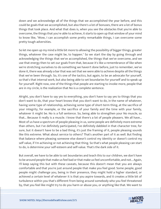down and we acknowledge all of the things that we accomplished the year before, and this could be goals that we accomplished, but also there's a lot of bonuses, there are a lot of bonus things that took place. And what that does is, when you see the obstacles that you're able to overcome, the things that you're able to achieve, it starts to open up that window of your mind to know like, "Wow, I can accomplish some pretty remarkable things, I can overcome some pretty tough adversities.

So let me open up my mind a little bit more to allowing the possibility of bigger things, greater things, whatever the case might be, to happen." So we start the day by going through and acknowledging the things that we've accomplished, the things that we've overcome, and we use that energy then to set our goals from that, because it's like a remembrance of like when we're stretching ourselves to do something we haven't done before, just to remember, we've done it, there was already a bar that was set that we were able to achieve despite all the things that we've been through. So, it's one of the tactics, but again, to be an advocate for yourself, so that's that internal work, but also being able to set boundaries for yourself and to speak up for yourself. Right now, one of the things that people are starting to invoke more, people that are in my circle, is the realization that No is a complete sentence.

Alright, you don't have to say yes to everything, you don't have to say yes to things that you don't want to do, that your heart knows that you don't want to do, in the name of whatever, having some type of relationship, achieving some type of short-term thing, at the sacrifice of your integrity, for example, or the sacrifice of your family and the time with your family, whatever it might be. No is a full sentence. So, being able to strengthen your No muscle, so that... Because it really is a muscle. I know that there's a lot of people pleasers. We all have... Most of us have a spectrum of people pleasing in us, some people are definitely more extreme than others, but I've definitely participated, I've definitely dabbled in that character tree, for sure, but it doesn't have to be a bad thing, it's just the framing of it, people pleasing sounds like this extreme. What about service to others? That's another part of it as well. But finding that balance where pleasing someone else doesn't control my identity or doesn't control my self value, if I'm achieving or not achieving that thing. So that's what people pleasing can start to do, is determine your self-esteem and self-value. That's the dark side of it.

But overall, we have to be able to set boundaries and teach this to our children, we don't have to be around people that make us feel bad or that make us feel uncomfortable, and not... Again, I'll keep saying this but with these caveats, because this doesn't mean that you are always comfortable and that you're just around people that make you feel good. Some people, good people might challenge you, being in their presence, they might hold a higher standard, or achieved a certain level of whatever it is that you aspire towards, and it creates a little bit of turbulence within you that's different from being around somebody who you feel threatened by, that you feel like might try to do you harm or abuse you, or anything like that. We want to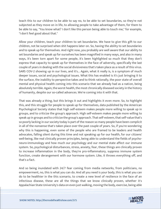teach this to our children to be able to say no, to be able to set boundaries, so they're not subjected as they move on in life, to allowing people to take advantage of them, for them to be able to say, "You know what? I don't like this person being able to touch me," for example, "I don't feel good about that."

Allow your children, teach your children to set boundaries. We have to give this gift to our children, not be surprised when shit happens later on. So, having the ability to set boundaries and to speak up for themselves. And right now, you probably are well aware that our ability to set boundaries and speak up for ourselves has been magnified in many ways, and also in many ways, it's been torn apart for some people, it's been highlighted so much that they don't express that capacity to speak up for themselves in the face of adversity, specifically the last couple of years in dealing with the social divisiveness that's taken place as a result of this virus. SARS COV-2 showing up in our lives, and it's... Again, what it really is, is a symptom of much deeper issues, social and psychological issues. What this has enabled is it's just bringing it to the surface, the inability to perspective takes and to think rationally, the poor state of overall mental and physical health coming into this scenario that we already had as a nation, being absolutely terrible. Again, the worst health, the most chronically diseased society in the history of humanity, despite our so-called advances. We're coming into it with that.

That was already a thing, but this brings it out and highlights it even more. So, to highlight this, and this struggle for people to speak up for themselves, data published by the American Psychological Society states that high self-esteem makes people more willing to speak up in groups, and to criticize the group's approach. High self-esteem makes people more willing to speak up in groups and to criticize the group's approach. That self-esteem, that self-value that's so poorly lacking in our society today is part of the reason so many people have been complicit in all of the nonsense that's taken place over the past couple of years. So, if you're wondering why this is happening, even some of the people who are framed to be leaders and health advocates, falling silent during this time and not speaking up for our health, for our citizens' well-being, like real clinically proven principles, being able to understand the fields of psychoneuro-immunology and how much our psychology and our mental state affect our immune system. So, psychological disturbances, stress, anxiety, fear, these things are clinically proven to increase inflammation in the body, they're pro-inflammatory, suppress immune system function, create derangement with our hormone system. Like, it throws everything off, and that's a fact.

And so being inundated with 24/7 fear coming from media networks, from politicians, no empowerment, no, this is what you can do. And all you need is your body, this is what you can do to be healthier in the this scenario, to create a new level of resilience in the face of an infectious disease, these are all the things that we know clinically proven, whether it's Appalachian State University's data on even just walking, moving the body, exercise, being able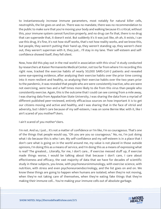to instantaneously increase immune parameters, most notably for natural killer cells, neutrophils, the list goes on and on. There was no mandate, there was no recommendation to the public to make sure that you're moving your body and walking because it's critical, without this, your immune system cannot function properly, and no drug can fix that, there is no drug that can supersede that, it doesn't exist. But suddenly it's it was just like, oh ah, it exists, I can use this drug, it's fine, it's not how stuff works, that's not how reality works, and we know this, but people, they weren't putting their hand up, they weren't standing up, they weren't chest out, they weren't superman with it, they just... I'll stay in my lane. Their self-esteem and selfconfidence showed itself, they fell silent.

Now, how did this play out in the real world in association with this virus? A study conducted by researchers at Kaiser Permanente Medical Center, not too far from where I'm recording this right now, tracked the exercise habits of nearly 50,000 SARS-CoV-2 patients and revealed some eye-opening evidence, after analyzing their exercise habits over the prior time coming into it more resilient and healthy, so analyzing their exercise habits over the two years prior to the pandemic, it was revealed that people who are were consistently inactive, who are were not exercising, were two and a half times more likely to die from this virus than people who consistently exercise. Again, this is the outcome that I could can see coming from a mile away, I was sharing data from Appalachian State University, I was sharing the data from a myriad of different published peer-reviewed, entirely efficacious sources on how important it is to get our citizens moving and active and healthy, and I was sharing that in the face of vitriol and adversity, but I didn't care because of my self-esteem, I was on some Bernie Mac with it, like I ain't scared of you motherf\*ckers.

I ain't scared of you mother\*ckers.

I'm not. And so, I just... It's not a matter of confidence or I'm like, I'm so courageous. That's one of the things that people would say, "Oh you are you so courageous." No, no, I'm just doing what I do because this is who I am. My self-confidence and my self-esteem is in a place that I don't care what is going on in the world around me, my value is not placed in those outside opinions, I'm doing this as a means of service, and I'm doing this as a means of expressing what is real? The greatest... Literally, for me, I don't care... If exercise messed stuff up, if exercise made things worse, I would be talking about that because I don't care, I care about effectiveness and efficacy, the vast majority of data that we have for decades of scientific study in these subjects, you know, with psychoneuroimmunology, with exercise science, with nutrition, with stress and even psychoneuroendocrinology, and the list goes on and on. We know these things are going to happen when humans are isolated, when they're not moving, when they're not taking care of themselves, when they're eating fake things that they're making their immune cell... You're making your immune cells out of absolute garbage.

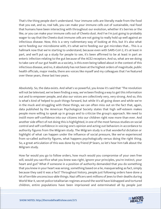That's the thing people don't understand. Your immune cells are literally made from the food that you eat, and so, real talk, you can make your immune cells out of sustainable, real food that humans have been interacting with throughout our evolution, whether it's berries or the like, or you can make your immune cells out of Cheeto dust. And I've I'm just going to probably wager to say that the Cheeto dust immune cells are not going to really hold up well against an infectious disease. Now, this is a very rudimentary way of looking at this, but it's also what we're feeding our microbiome with, it's what we're feeding our gut microbes that... This is a hallmark now that we're starting to understand, because even with SARS-CoV-2, it's at least in part, and we'll put up a study for people to see, it's been affirmed to be at least in part an enteric infection relating to the gut because of the ACE2 receptors. And so, what are we doing to take care of our gut health as a society, is this even being talked about in the context of this infectious disease, and no, it absolutely has not been at the highest orders of magnitude, public health officials, major media, there are voices like myself and my colleagues that I've featured over these years, these last two years.

Absolutely. So, the data exists. And what's so powerful, you know it's said that "The revolution will not be televised, we've been finding a way, we've been finding a way to get this information out and to empower people, and also our voices are collectively very, very strong. And so, this is what's kind of helped to push things forward, but while it's all going down and while we're in the muck and struggling with these things, we can often miss out on the fact that, again, data published by the American Psychological Society states that high self-esteem makes people more willing to speak up in groups and to criticize the group's approach. We need to instill more self-confidence into our citizens into our children right now more than ever. And another side effect of not doing this is highlighted, in one of the most famous studies on social control and self-confidence in voicing one's opinion and acting out behaviors in accordance to authority figures from the Milgram study. The Milgram study is a that wonderful dictation or highlight of what can happen under the influence of social pressure, like we've experienced from so-called authority figures, what happens psychologically versus doing the right thing. So, a great articulation of this was done by my friend JP Sears, so let's hear him talk about the Milgram study.

How far would you go to follow orders, how much would you compromise of your own free will, would you sacrifice what you knew was right, ignore your principles, you're instinct, your heart and gut? What if someone in a position of authority demanded that you do something that you knew in your heart was wrong, something based on a lie, masquerading as fact, simply because they said it was a fact? Throughout history, people just following orders have done a lot of terrible unconscious-able things. Nazi officers sent millions of Jews to their deaths during World War II, secret police totalitarian regimes around the world have kidnapped and tortured children, entire populations have been imprisoned and exterminated all by people just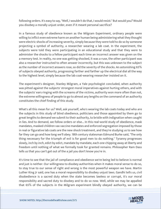following orders. It's easy to say, "Well, I wouldn't do that, I would resist." But would you? Would you disobey a morally unjust order, even if it meant personal sacrifice?

In a famous study of obedience known as the Milgram Experiment, ordinary people were willing to inflict even extreme harm on another human being administering what they thought were electric shocks of increasing severity, simply because they were told to do so by someone projecting a symbol of authority, a researcher wearing a lab coat. In the experiment, the subjects were told they were participating in an educational study and that they were to administer the shocks to a fellow participant each time an incorrect answer was given on the a memory test. In reality, no one was getting shocked, it was a ruse, the other participant was also a researcher instructed to often answer incorrectly, but this was unknown to the subject as the number of incorrect answers rose, so did the severity of the shocks. An astonishing 65% of subjects obeyed authority, progressing farther and farther up the electrical dial all the way to the highest level, simply because the lab coat-wearing researcher insisted on it.

The experiment's designer, Stanley Milgram, a Yale psychologist concluded, when authority was pitted against the subjects' strongest moral imperatives against hurting others, and with the subjects' ears ringing with the screams of the victims, authority won more often than not, the extreme willingness of people to go to almost any lengths on the command of an authority constitutes the chief finding of this study.

What's all this mean for us? Well, ask yourself, who's wearing the lab coats today and who are the subjects in this study of blind obedience, politicians and those appointed by them go to great lengths to demand we submit to their authority, to bristle with indignation when caught in lies. And to demand, we follow orders or else... In this real-world study of obedience, mask mandates, masked children vax vaccine mandates and enforced segregation imposed by those in real or figurative lab coats are the new shock treatment, and they're studying us to see how far they can go and how long we'll obey. 18th century statesman Edmund Burke said, "The only thing necessary for the triumph of evil is for good men to do nothing." Tyranny progresses slowly, inch by inch, edict by edict, mandate by mandate, each one chipping away at liberty and freedom until nothing of what we formally took for granted remains. Philosopher Ram Dass tells us that you can't get out of the a jail you don't know you're in.

It's time to see that the jail of compliance and obedience we're being led to believe is normal and just is neither. Our willingness to disobey authorities when it makes moral sense to do so, to stay true to our sense of right and wrong is the most powerful weapon we have. Martin Luther King Jr said, one has a moral responsibility to disobey unjust laws. Gandhi tells us, civil disobedience is a sacred duty when the state becomes lawless or corrupt, it's our moral responsibility and sacred duty to disobey and to do so now. Well, while we may be appalled that 65% of the subjects in the Milgram experiment blindly obeyed authority, we can be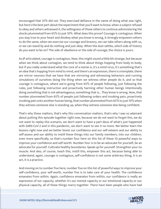encouraged that 35% did not. They exercised defiance in the name of doing what was right, but here's the best part about the experiment that you'll want to know, when a subject refused to obey and others witnessed it, the willingness of those others to continue administering the shocks plummeted from 65% to just 10%. What does this prove? Courage is contagious. When you stay true to your heart and disobey what you know is wrong, it strongly empowers others to do the same, when we exercise our courage and bravery, we can take others along with us, or we can stand by and do nothing and just obey. When the dust settles, which side of history do you want to be on? The side of obedience or the side of courage, the choice is yours.

As JP articulated, courage is contagious. Now, this might sound a little bit strange, but because when we think about contagion, we tend to think about things hopping from body to body, but if you really understand what the core of a meme is, it's a mind virus, it's something that's an idea that's hopping from mind to mind, and there's an expression, there is a template, there are mirror neurons that we have that are mirroring and witnessing behaviors and running simulations of ourselves doing the thing when we witness other people do it, and so that courage is contagious, where we're going from 65% of people following, just following the rules, just following instruction and proactively harming other human beings intentionally doing something that is not advantageous, something that is... They know is wrong. Now, that number plummeted from 65% of people just following orders and invoking pain, proactively invoking pain onto another human being, that number plummeted from 65% to just 10% when they witness someone else is standing up, when they witness someone else being confident.

That's why these matters, that's why this conversation matters, that's why I was so adamant about putting this episode together right now, because we do not want to forget this, we do not want to replay this scenario, we don't want to have a part deux of what's just happened with SARS-CoV-2 and in this pandemic, we don't want to see it no more. We better learn the lessons right now and we better boost our confidence and our self-esteem and our ability to self-assess and our ability to instill these things into our family members, into our children, even more specifically, so that's number four here on this list of these 10 powerful ways to improve your confidence and self-worth. Number four is to be an advocate for yourself, be an advocate for yourself. Cultivate healthy boundaries. Speak up for yourself. Strengthen your no muscle. And also, of course, teach this, instill this, empower this act, because being able to understand, again, courage is contagious, self-confidence is not some arbitrary thing, it is an act, it is a practice.

And moving on to number five here, number five on this list of powerful ways to improve your self-confidence, your self-worth, number five is to take care of your health. The confidence emanates from within. Again, confidence emanates from within, our confidence is really an expression of our capacity, whether it's our mental capacity or our emotional capacity or our physical capacity, all of these things marry together. There have been people who have had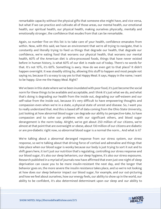remarkable capacity without the physical gifts that someone else might have, and vice versa, but what if we can practice and cultivate all of those areas, our mental health, our emotional health, our spiritual health, our physical health, making ourselves physically, mentally and emotionally stronger, the confidence that exudes from that can be remarkable.

Again, so number five on this list is to take care of your health, confidence emanates from within. Now, with this said, we have an environment that we're all trying to navigate, that is constantly and literally trying to feed us things that degrade our health, that degrade our confidence, we're eating food that worsens our physical health, that worsens our mental health, 60% of the American diet is ultra-processed foods, things that have never existed before in human history, is what 60% of our diet is made out of today. There's no words for that. It's not 10%, it's 60%. Something is awry. How do we even get to that place? It didn't happen overnight. It was steadily sitting by, allowing this stuff to happen and most people not saying no, because it's so easy to say yes to that Happy Meal. It says, Happy in the name, I want to be happy. Give me the Happy Meal. Right?

We've been in this state where we've been inundated with poor food, it's just become the social norm for these things to be available and acceptable, and I think it's just what we do, and what that's doing is degrading our health from the inside out, degrading our self-esteem and our self-value from the inside out, because it's very difficult to have empowering thoughts and compassion even when we're in a state, a physical state of unrest and disease. So, I want you to really understand that. And this is based off of data coming from the Ohio State University, just looking at how abnormal blood sugar can degrade our ability to perspective-take, to have compassion and to solve our problems with our significant others, and blood sugar derangement is the norm today. Alright, we've got about 250 million of our citizens, we're almost at that point that are overweight or obese, about 130 million of our citizens are diabetic or are pre-diabetic right now, so abnormal blood sugar is a normal the norm... And what is it?

We're talking about a abnormal deranged response from our stress system, our stress response, so we're talking about that driving force of cortisol and adrenaline and things that take place when our blood sugar is wonky because our body is just trying to sort it out and to shift gears here, it isn't just our nutrition that's regulating, controlling our stress response and our blood sugar, it's also our sleep behaviors, our sleep hygiene, it's also our stress exposures. Research published in a myriad of journals now have affirmed that even just one night of sleep deprivation can cause you to be more insulin-resistant the next day, and the longer that behavior goes on, the more severe the insulin resistance takes place, and so we're not looking at how does our sleep behavior impact our blood sugar, for example, and our out-picturing and how we feel about ourselves, how our energy feels, our ability to show up in the world, our ability to be confident, it's also determined determinant upon our sleep and our ability to

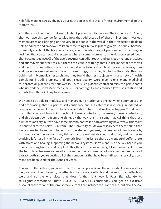helpfully manage stress, obviously our nutrition as well, but all of these environmental inputs matters, so...

And these are the things that we talk about predominantly here on The Model Health Show, that we have this wonderful catalog now that addresses all of these things and in various masterclasses and bringing on the very best people in the world in their respective fields to help to educate and empower folks on these things, but also just to give you a couple, because ultimately it's about the big chunk pieces, so our nutrition overall, predominantly focusing on real food that you can actually recognize where it comes from versus the ultra-processed foods that become, again, 60% of the average American's diet today, and our sleep hygiene practices and our movement practices, but there are a couple of things that I utilize in the face of stress and that I recommend for people, especially if we're talking about health of our nervous system and our endocrine system, and one of those things, this is highlighted in the study, this was published in biomedical research, and they found that test subjects with a variety of health complaints including anxiety and poor sleep quality, were given Lion's mane medicinal mushroom or placebos for four weeks. So, this is a placebo controlled trial, the participants who utilized the Lion's Mane medicinal mushroom significantly reduced levels of irritation and anxiety than those in the placebo group.

We need to be able to modulate and manage our irritation and anxiety when communicating and articulating, that's a part of self-confidence and self-esteem is not being inundated or controlled or brought down in the face of irritation when irritating things happen. This doesn't mean that you don't have irritation, but it doesn't control you, the anxiety doesn't control you, and this doesn't come from one thing, by the way, this isn't some magical thing that just eliminates anxiety, but we have some placebo-controlled data affirming how, "Wow, this really is beneficial to the nervous system." The University of Malaya researchers there found that Lion's mane has been found to help to stimulate neurogenesis, the creation of new brain cells, it's remarkable, there's not many things that are well established to do that, and so they're studying it for use in the face of traumatic brain injuries, so there's a wonderful buffer there with stress and healing supporting the nervous system, Lion's mane, but the key here is you hear something like this and people do this, they'll just run out and get Lion's mane, get it from the best place, because you need a dual extraction, you need a hot water extract and alcohol extract, both, so you're getting all of the compounds that have been utilized historically. Lion's mane has been used for thousands of years.

Through both methods, you want to try Turpin compounds and the antioxidant compounds as well, you want them to marry together for the hormonal effects and the antioxidant effects as well, and so the one place that does it the right way is Four Sigmatic. Go to foursigmatic.com/model, that's F-O-U-R-S-I-G-M-A-T-I-C.com/model. You get an exclusive discount there for all of their mushroom elixirs, that includes the Lion's Mane, but also, they've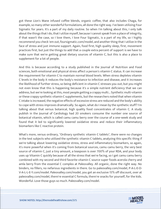got these Lion's Mane infused coffee blends, organic coffee, that also includes Chaga, for example, so many other wonderful formulations, all done the right way. I've been utilizing Four Sigmatic for years. It's a part of my daily routine. So when I'm talking about this, I only talk about the things that I do, that I utilize myself, because I cannot speak from a place of integrity, if that wasn't the case, so I love them, I love Four Sigmatic, is a part of my life, so I highly recommend you check 'em out, foursigmatic.com/model, and another thing that I utilize in the face of stress and just immune support. Again, food first, high quality sleep, first, movement practices first, but just the things to add that a couple extra percent of support is we have to make sure that we're getting great dietary sources of vitamin C, but this is also a place to supplement for a lot of people.

And this is because according to a study published in the Journal of Nutrition and Food sciences, both emotional and physical stress affect a person's vitamin C status. It can increase the requirement for vitamin C to maintain normal blood levels. When stress depletes vitamin C levels in the body it reduces the body's resistance to infection and disease, and it increases the likelihood of further stress, so being deficient in vitamin C stresses you out, but you might not even know that this is happening because it's a simple nutrient deficiency that we can address, but we're looking at this, most people getting a crappy multi... Synthetic multi-vitamin or these crappy synthetic vitamin C supplements, but the researchers noted that when vitamin C intake is increased, the negative effects of excessive stress are reduced and the body's ability to cope with stress improves dramatically. So again, what do I mean by the synthetic stuff? I'm talking about that versus botanical, high quality food concentrates of vitamin C. A study publish in the Journal of Cardiology had 20 smokers consume the number one source of botanical vitamin, which is called camu camu berry over the course of a one-week study and found that it led to significantly lowered oxidative stress and reduce their inflammatory biomarkers like C reactive protein.

What's more, versus ordinary, "Ordinary synthetic vitamin C tablets", there were no changes in the test subjects who utilized the synthetic vitamin C tablets, analyzing this specific thing if we're talking about lowering oxidative stress, stress and inflammatory biomarkers, so again, it's more powerful when it's coming from botanical sources, camu camu berry, the very best source of vitamin C, just a tiny amount, a teaspoon is over 700% of your RDA, and your body uses up Vitamin C quickly because of all the stress that we're facing, so I get camu camu berry combined with my second and third favorite vitamin C source super foods acerola cherry and amla berry from the essential C complex at Paleovalley. All organic, done the right way. No binders, no fillers, no nefarious ingredients in there. Go to paleovalley.com/model, P-A-L-E-O-V-A-L-L-E-Y.com/model. Paleovalley.com/model, you get an exclusive 15% off discount, over at paleovalley.com/model, there're essential C formula, there're snacks for yourself, for the kids. Wonderful. Love those guys so much. Paleovalley.com/model.

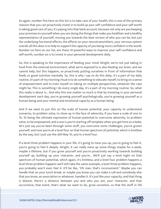So again, number five here on this list is to take care of your health, this is one of the primary reasons that you can proactively invest in to build up your self-confidence and your self-worth is taking good care of you, it's paying into that bank account, because not only are you keeping your promises to yourself when you are doing the things that make you healthier and a healthy representation of yourself, moving you towards the best version of who you can be, but just the underlying hormonal effects, the effects on your neurotransmitters, your nervous system overall, all this does is to help to support the capacity of you being more confident in the world. Number six here on our list, are these 10 powerful ways to improve your self-confidence and self-worth, number six is to invest in your personal development daily.

So, this is speaking to the importance of feeding your mind. Alright, we're not just taking in food from the external environment, what we're exposed to is also feeding our brain, and we cannot help, but this happens, so proactively putting ourselves in front of information that feeds us good nutrition mentally. So, this is why I say to do this daily, it's a part of my daily routine, it's part of my morning ritual is to do something to educate myself, to bring on a sense of empowerment and to train myself on taking on multiple perspectives, whatever the case might be. This is something I do every single day, it's a part of my morning routine. So, what this really is about is... And why this one matter so much is that by investing in your personal development each day, you're growing yourself psychologically, you're growing yourself as a human being and your mental and emotional capacity as a human being.

And if we want to put this on the scale of human potential, your capacity to understand scenarios, to problem solve, to show up in the face of adversity, if you have a scale of one to 10, 10 being the ultimate expression of human potential to overcome adversity, to problem solve, to be empowered, and a one is you're starting off template when you get here as a bebe, let's just say you've been through some stuff, you overcome some challenges, you've grown yourself, and now you're at a level four on that human spectrum of potential, which is limitless by the way, but I just use the skill May 10, you're a level four.

If a level three problem happens in your life, it's going to mess you up, you're going to feel it, you're going to feel it deeply. Alright, it can really mess up some things maybe for a week, maybe a lifetime, but if you grow yourself and you're proactively working towards building yourself up, building up your character, and you're... We'll just say a level eight on that spectrum of human potential, which again, it's limitless, and a level four problem happens a level three problem happens we'll still take the same example, a level three problem happens, you probably won't even feel it. It'll be like, "Oh man, that's inconvenient." Maybe you can handle that on your lunch break, or maybe you know you can make a call and somebody else that you know, an association or whatever, handles it. It's just like your capacity, and that thing is distant, there's a distance between you and who you are, your character, and that occurrence, that event, that's what we want to do, grow ourselves, so that the stuff in life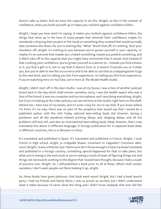doesn't take us down. And we have the capacity to do this. Alright, so this in the context of confidence, when you build yourself up it makes you resilient against confidence killers.

Alright, I hope you hear what I'm saying. It makes you resilient against confidence killers, the things that show up in the lives of many people that diminish their confidence, maybe it's somebody critiquing their project or the result or something they created that would normally take someone else down, for you is nothing like, "What." Brush that off, it's nothing. Dust your shoulders off, alright, it's nothing to you because you've grown yourself in your capacity, or maybe it's an outcome that maybe you created something, maybe you publish something, and it didn't take off to the capacity that you might have envisioned that it would. And instead of that crushing your confidence, you've grown yourself as a person to... Instead, you find a lesson in it, you find a gift in it, not to say that it doesn't hurt, or it doesn't frustrate you or irritate you, but you're able to see this occurrence and to be able to use that as a steppingstone to go to the next level, and I'm telling you this from experience. I'm telling you this from experience. If you're watching here on YouTube, we're here at The Model Health studio.

Alright, I didn't start off in this dam studio. I was at my house, I was a face of another podcast brand back in the day which shall remain nameless, sorry, I was the health expert who was a face of the brand, it was my computer and my microphone, and I was doing everything, alright, but if you're looking at the video and you can see me here at the studio, right here on the shelf, behind me, I have two of my books, and it's even crazy for me to say that. If you know where I'm from, it's no way, there was no part of the prophecy that would say that I would be a published author with the USA Today national best-selling book, Eat Smarter, during a pandemic and all the pandemic-related printing delays and shipping delays and all the problems still and still, and also an international best-selling book, Sleep Smarter, that's now translated into about 21 different language, 21 foreign publication for 21 separate book deals in different countries, this is in libraries in China.

It's translated and published in Spain. It's translated and published in France. Alright, I took French in high school. Aright, je m'appelle Shawn. Comment tu t'appelles? Comment allezvous? Alright, I know a little bit, but I damn sure don't know enough to have my book translated and published in a foreign country, something special happened for that to take place, but what you're seeing is the end result or you're seeing a result of years of figuring things out and things not necessarily working to the degree that I would have thought, because I had a couple of practice runs. Alright. So, I self-published a book prior to all of these. Which shall remain nameless, I don't want people out there looking it up, alright.

So, these books have gone platinum, that book went wood. Alright, but I had a book launch party, I had my friends and family there, I was so proud, so excited, but I didn't understand what it takes because I'd never done the thing and I didn't know anybody that ever did the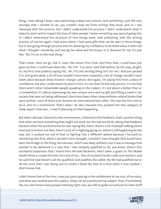thing. I was taking a leap, I was expressing a deep soul mission, and something I just felt very strongly that I needed to do, you couldn't stop me from writing that book, and so I was obsessed with the process, but I didn't understand the process, I didn't understand what it takes to reach and to impact the lives of other people. I knew something was special going into it; I didn't understand the structure of how things work, with publishing, with the writing process, of course, again, I had some talent, I had some gifts that can be seen in those things, but it was going through process and not allowing my confidence to be killed when it didn't do what I thought I would do, and seeing the value and the lesson in it. Because for me, it's just like, "Oh, I'm on to the next thing."

That's done. Here we go. Got it. Learn the lesson from that. And from that, I could have just gave up then I could have been like, "Ah, FUI." I've never said that before, by the way, alright, it's my first time publicly saying FUI, "Ah, FUI, this writing thing isn't for me." And just packed it in, but guess what, a lot of lives wouldn't have been impacted, a lot of change wouldn't have taken place because Sleep Smarter change culture. And again, I'm saying this from a place of confidence, but also I understand my place in this, it's not that I'm the only person, it's not that there aren't other remarkable people speaking on the subject, it's not about a better than or a competition, it's about expressing my own unique voice and my gift and filling a need in our society that was not being addressed, there have been other sleep wellness-related books that were written, none of them ever became an international best seller. This was the first one to do it, and I'm a nutritionist. That's what I do. But I became this, pushed into this category of sleep expert, that was... I wasn't planning on that happening.

But what I did was I listened to the environment, I listened to the feedback, that's another thing that when we have something that might not work out the way we think, taking that feedback because what the world around me was saying like, listen, there's a lot of people talking about food and nutrition out here, there's a lot of in-fighting going on, which is still happening by the way, but it pushed me out of that in fighting into a different sphere because I focused on something else first, which I wouldn't have thought, I wouldn't have thought that would have been the bridge or the thing, the elevator, which was sleep wellness, but it was a message that needed to be delivered in a way that I was uniquely qualified to do, you know, there's this wonderful statement that I heard from Michael Beckwith, who's been a guest on The Model Health Show a couple of times, he's one of my... One of my best friends really and mentors, and he said that God doesn't call the qualified, God qualifies the called. My life had qualified me to do the work that I was doing and to create a book like that at a time when it was needed, I didn't know that.

I didn't know that at the time, I was just participating in the unfoldment of my soul, of my story, and what was needed was this subject, sleep can be a pretty boring subject. Now, if somebody like me, and I know many people listening right now, you like to geek out and just to learn stuff

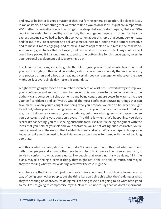and how to be better it's not a matter of that, but for the general population, like sleep is just... It's an obstacle, it's something that we want to find a way to do less of, it's just so unimportant. We'd rather do something else than to get the sleep that our bodies require, that our DNA requires in order for a healthy expression, that our genes require in order for healthy expression. And so, we had to have this conversation about this topic that seems very un-sexy, and for me in my life experience, to deliver some sex-ness to it, and to make it more attractive and to make it more engaging, and to make it more applicable to our lives in the real world. And I'm very grateful for that, but again, had I not worked on myself to build my confidence, I could have packed it in a long time ago, and so the bottom line for this once again, invest in your personal development daily, every single day.

It's like nutrition, bring something into the fold to give yourself that mental food that feed your spirit. Alright, so this could be a video, a short video from somebody that motivates you, or a podcast or an audio book, or reading a certain book or passage, or whatever the case might be, just every single day make this a mandate.

Alright, we're going to move on to number seven here on a list of 10 powerful ways to improve your confidence and self-worth, number seven, this was powerful. Number seven is to be authentic and congruent. Being authentic and being congruent are powerful ways to increase your self-confidence and self-worth. One of the most confidence detracting things that can take place is when you're caught not being who you propose yourself to be, when you get found out, when you're not being congruent with who you broadcast to the world that you are, man, that can really mess up your confidence, but guess what, guess what happens when you get caught being you, you don't even... The thing is when that's happening, you don't realize it's happening, you're just being authentic to yourself, you're being congruent with the ideas that you hold of yourself and your character, you're not acting out a character, you're being yourself, and the reason that I added this one, and why... What even spark this episode today, actually and the need to have this conversation is my wife shared with me not too long ago that...

And this is what she said, she said that, "I don't know if you realize this, but when we're out with other people and around other people, you tend to influence the room around you, it tends to conform to what you're up to, like people that would normally be doing fill in the blank, maybe drinking a certain thing, they might not drink or drink as much, and maybe they're ordering what you're ordering, whatever the case might be."

And these are the things that I just don't really think about. And I'm not trying to impress my way of being upon other people, but the thing is, I don't give sh\*t what they're doing or what they're ordering or whatever, I'm doing me, I'm being myself, I'm going to do what feels good to me, I'm not going to compromise myself. Now this is not to say that we don't experiment,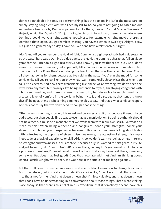that we don't dabble in some, do different things but the bottom line is, for the most part I'm simply staying congruent with who I see myself to be, so you're not going to catch me out somewhere like drive by Domino's parking lot like there, look at... "Is that Shawn Stevenson? He just, what... Not Domino's." I'm just not going to do it. Now listen, there's a scenario where Domino's could work, alright, zombie apocalypse, for example. Alright, maybe there's a Domino's that's open, you got zombies chasing, you haven't eaten in two days. Alright, okay. But just on a general day-to-day, I have no... We don't have a relationship. Alright.

I don't know if you remember the Noid. Alright, Domino's straight up actually had a video game by the way. There was a Domino's video game, the Noid, the Domino's character, full on video game for the Nintendo, alright, true story. I don't know if you know this or not, but... And I don't know if you know this as well, but apparently Little Caesars is now having options where they don't do the Pizza Pizza, they're not doing the two Pizzas, that was their claim to fame. That's all they had going for them, because as I've said in the past, if you're in the mood for some terrible Pizza, if you're just like, you know what I want some really sh\*tty Pizza, that's when you call Little Caesars. And now them transitioning like online we're evolving, we don't need the Pizza Pizza anymore, but anyways, I'm being authentic to myself, I'm staying congruent with who I see myself as, and there's no need for me to try to hide, or try to watch myself, or it creates a level of comfort in the world in being myself, and also, again, that tenet is know thyself, being authentic is becoming a marketing ploy today. And that's what tends to happen. And this not to say that we don't need it though, that's the thing.

Often when something is brought forward and becomes a tactic, it's because it needs to be addressed, but then people find a way to use that as a manipulation. So being authentic should not be a tactic, it must be a mandate that we evoke from within our own spirit. So, what do I mean by this? When being authentic and congruent, honor your strengths, honor your strengths and honor your inexperience, because in this context, as we're talking about today with self-esteem, the opposite of strength isn't weakness, the opposite of strength is simply ineptitude or a lack of experience or skill. Alright, so we don't want to look at things in terms of strengths and weaknesses in this context, because truly, if I wanted to shift gears in my life and just focus on, I don't know, NASCAR or something, and my life's goal would be like to be in a pit crew somewhere, I'm sure I could figure it out and find a way to make it there, somehow, some way. But does that feel good? Does that resonate with me? And I'm thinking about Danica Patrick. Alright, who's been, she was here in the studio not too long-ago and...

But that's... It could be deemed as a weakness because I don't know how to change tires really fast or whatever, but it's really ineptitude, it's a choice like, "I don't want that. That's not for me. That's not for me." And that doesn't mean that I'm less valuable, and that doesn't mean that I can't have an understanding in a conversation about those things. That's what's taking place today, is that there's this belief in this expertism, that if somebody doesn't have this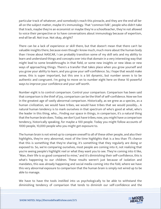particular track of whatever, and somebody's reach this pinnacle, and they are the end-all beall on the subject matter, maybe it's immunology. That "common folk", people who didn't take that track, maybe they're an economist or maybe they're a schoolteacher, they're not allowed to voice their perspective or to have conversations about immunology because of expertism, end-all be-all. Not true. Not okay, alright?

There can be a lack of experience or skill there, but that doesn't mean that there can't be valuable insights there, because even though I know much, much more about the human body than I know about NASCAR, I can probably transition some of my skill sets and my ability to learn and understand things and concepts over into that domain in a very interesting way that might lead to some breakthroughs in that field, or some new insights or new ideas or new ways of approaching things. There's a transfer that takes place when you grow yourself and you grow your ability to learn, and you grow your self-confidence. So, I hope that would make sense, this is super important, but this one is a bit dynamic, but number seven is to be authentic and congruent. I'm going to move on to number eight here on these 10 powerful ways to improve your confidence and your self-worth.

Number eight is to control comparison. Control your comparison. Comparison has been said that comparison is the thief of joy, comparison can be the thief of self-confidence. Now we live in the greatest age of vastly abnormal comparison. Historically, as we grew as a species, as a human civilization, we would have tribes, we would have tribes that we would possibly... A natural human tendency is to mark ourselves in that spectrum of who's good at what, who's the leader in this thing, who... Finding our space in things, in comparison, it's a natural thing that the human brain does. Today, we don't just have tribes; now, you might have a comparison tendency, historically speaking, for maybe a 100 people. Today you might follow accounts of 1000 people, 10,000 people who you might get exposure to.

The human brain is not wired up to compare oneself to all of these other people, and also their highlights, they're very abnormal, most of the time highlights that is a less than 1% chance that this is something that they're sharing, it's something that they regularly are doing or exposed to. So, we're comparing ourselves, most people are coming into it, not realizing that you're seeing people's highlight reel or what they want you to see. They're coming into it like, "Man, their life is so good compared to mine," and it's diminishing their self-confidence, this is what's happening to our children. These results weren't just because of isolation and mandates, this was already happening and social media coming into the fold, where we have this very abnormal exposure to comparison that the human brain is simply not wired up to be able to manage.

We have to have the tools instilled into us psychologically to be able to withstand the diminishing tendency of comparison that tends to diminish our self-confidence and the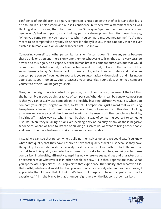confidence of our children. So again, comparison is noted to be the thief of joy, and that joy is also found in our self-esteem and our self-confidence, but there was a statement when I was thinking about this one, that I first heard from Dr. Wayne Dyer, and he's been one of great people who's had an impact on my thinking, personal development, but I first heard him say, "When you compare me, you negate me. When you compare me, you negate me." You're not meant to be compared to anybody else, there is nobody like you, there is nobody that has ever existed in human evolution or who will ever exist just like you.

Comparing yourself to another person is... It's a non-factor, it doesn't make any sense because there's only one you and there's only one them or whoever else it might be. It's very strange how we do this; again, it's a capacity of the human brain to compare ourselves, but that would be more in the tribal context, our brain is hardwired for that, but not in the context of the social dynamics today. Our brains can't do it, we're not good at it, and so understand that when you compare yourself, you negate yourself, you're automatically downplaying and missing on your beauty, your humanity, your greatness, your potential, your value. When you compare yourself to others, you negate yourself.

Now, number eight here is control comparison, control comparison, because of the fact that the human brain does do this practice of comparison. What do I mean by control comparison is that you can actually use comparison in a healthy inspiring affirmative way. So, when you compare yourself, you negate yourself, so it's not... Comparison is just a word that we're using to explain an idea, so I don't want the word to be limiting, but we can use it, this idea of looking at where we are in a social structure and looking at the results of other people in a healthy, inspiring affirmative way. So, what I mean by that, instead of comparing yourself to someone just like, "Man, they're killing it," or even evoking envy or jealousy or any of those negative tendencies, where we tend to instead of building ourselves up, we want to bring other people and break other people down to make us feel more comfortable.

Instead, we can see that person who's building themselves up, and we could say, "You know what? That quality that they have, I aspire to have that quality as well." Just because they have the quality does not diminish the capacity for it to be in me. As a matter of fact, the more of us that have this quality can potentially make this world a better place, so being able to use comparison in a healthy, affirmative, inspiring way where we see qualities and character traits or experiences or whatever it is in other people, we say, "I like that, I appreciate that." What you appreciate, appreciates. So, I appreciate that experience, that quality, that whatever it is, that outfit, whatever it might be, but you see that in somebody else and you say, "Wow, I appreciate that. I honor that. I think that's beautiful. I aspire to have that particular quality experience," fill in the blank. So that's number eight here on the list, control comparison.

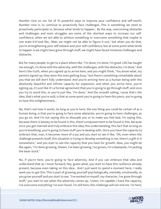Number nine on our list of 10 powerful ways to improve your confidence and self-worth. Number nine is, to continue to proactively face challenges. This is something we need to proactively participate in, because what tends to happen... By the way, overcoming obstacles and challenges and even struggles are some of the shortest ways to increase our selfconfidence, when we are able to achieve something or overcome something that maybe in one state it'd look like, "Man, we might not be able to figure it out," but when you do that, you're strengthening your self-esteem and your self-confidence, but at some point what tends to happen is we might have gone through stuff, we might have faced immense challenges and obstacles.

But for many people, to get to a place where like, "I'm done, I'm done, I'm good. Life has taught me enough, I'm done with the adversity, with the challenges, with the obstacles, I'm done." And here's the truth, when you signed up to arrive here, and you might think, "You know what, my parents signed up, they were the ones getting busy," but there's something remarkable about you that we still don't fully understand. And you're arriving here as a human being with this absolutely beautiful and infinite capacity for expansion, and when you arrive here, you're signing up, it's just like it's a formal agreement that you're going to go through stuff, and once you try to avoid this, or you're just like, "I'm done." And the smooth sailing, 'cause that's the idea, that's what you're sold, is that at some point you're going to have this piece, you're going to have this enlightenment...

No, that's not how it works. As long as you're here, the one thing you could be certain of as a human being, is that you're going to face some obstacles, you're going to have challenges, as you go on. And I'm not saying this to dissuade you or to make you feel bad, I'm saying this, because there is beauty to be found in this, there's empowerment to be found in this, because once you get married and truly embrace this idea, this understanding, this fact that as long as you're breathing, you're going to have stuff you're dealing with. Once you have the capacity to embrace that, man, it becomes more of a joy and you start to see it like, "Oh, even when the challenge presents itself, this situation is trying to develop something in me, there's a gift in it somewhere," and you start to see the capacity that you have for growth. Now, you might be like again, "I'm done growing, Shawn, I've been growing, I've grown, I'm a beanpole, I'm jacking the bean stock."

No, if you're here, you're going to face adversity. And if you can embrace that idea and understand that as I move forward, hey, guess what, you start to have this resilience already present, because even taking on this idea... And I just want to spend a moment here, I really want you to get this. This is part of growing yourself psychologically, mentally, emotionally, as you grow yourself and you start to see, "I've worked on myself, my character, I've gone through stuff," you start to see when the adversity comes up, "Listen, I'm capable, I have the capacity, I've overcome everything I've ever faced. I'm still here, this challenge will not end me. I'm here,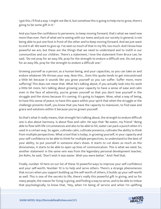I got this, I'll find a way. I might not like it, but somehow this is going to help me to grow, there's going to be some gift in it."

And you have the confidence to persevere, to keep moving forward, that's what we need now more than ever. Part of what we're seeing with our teens and just our society in general, is not being able to put one foot in front of the other and to keep moving forward. And we just want to end it all. We want to give up. I've seen so much of that in my life, too much. And I know how powerful we are, but these are the things that we need to understand and to instill in our communities and our children. There's a statement, I love the statement from Bruce Lee, he said, "Do not pray for an easy life, pray for the strength to endure a difficult one. Do not pray for an easy life, pray for the strength to endure a difficult one."

Growing yourself as a person, as a human being, and your capacities, so you can take on and endure whatever life throws your way. Now this... Even this quote tends to get misconstrued a little bit because it sounds like you grow yourself so you can suffer. Suffer more, more suffering! This does not mean that. What he's talking about, if you actually look into his work a little bit more, he's talking about growing your capacity to have a sense of ease and calm even in the face of adversity, you've grown yourself so that you don't lose yourself in the struggle and the stress because it's coming. It's going to happen. Wow, what a way of being, to have this sense of peace, to have this space within your spirit that when the struggle or the challenge presents itself, you know that you have the capacity to maneuver, to find ease and grace and solutions within it because you've grown yourself.

So that's what it really means, that strength he's talking about, the strength to endure difficult one is also about harmony. Is about flow and calm. He says that "Be water, my friend." Being able to flow with life circumstances and also to be able to hit, water can pack a punch when it's used in a certain way. So again, cultivate calm, cultivate presence, cultivate the ability to think from multiple perspectives. What a tool that is today, in growing yourself, in your capacity and your self-confidence to be able to think for multiple perspectives, to understand to the best of your ability, to put yourself in someone else's shoes. It starts to cut down so much on the divisiveness, it starts to be able to open up lines of communication. This is what we need. So, another statement in the same vein was from the legendary personal development teacher, Jim Rohn, he said, "Don't wish it was easier. Wish you were better." And I feel that.

Finally, number 10 here on our list of these 10 powerful ways to improve your self-confidence and your self-worth. Number 10 is to help and serve others. There's a strange phenomenon that occurs when you support building up the self-worth of others, it builds up your self-worth as well. This is one of the secrets to life, there's really this powerful gift in giving, and so for many people, the reason for living is giving, and finding a way to serve, and to be able to imbue that psychologically, to know that, "Hey, when I'm being of service and when I'm uplifting